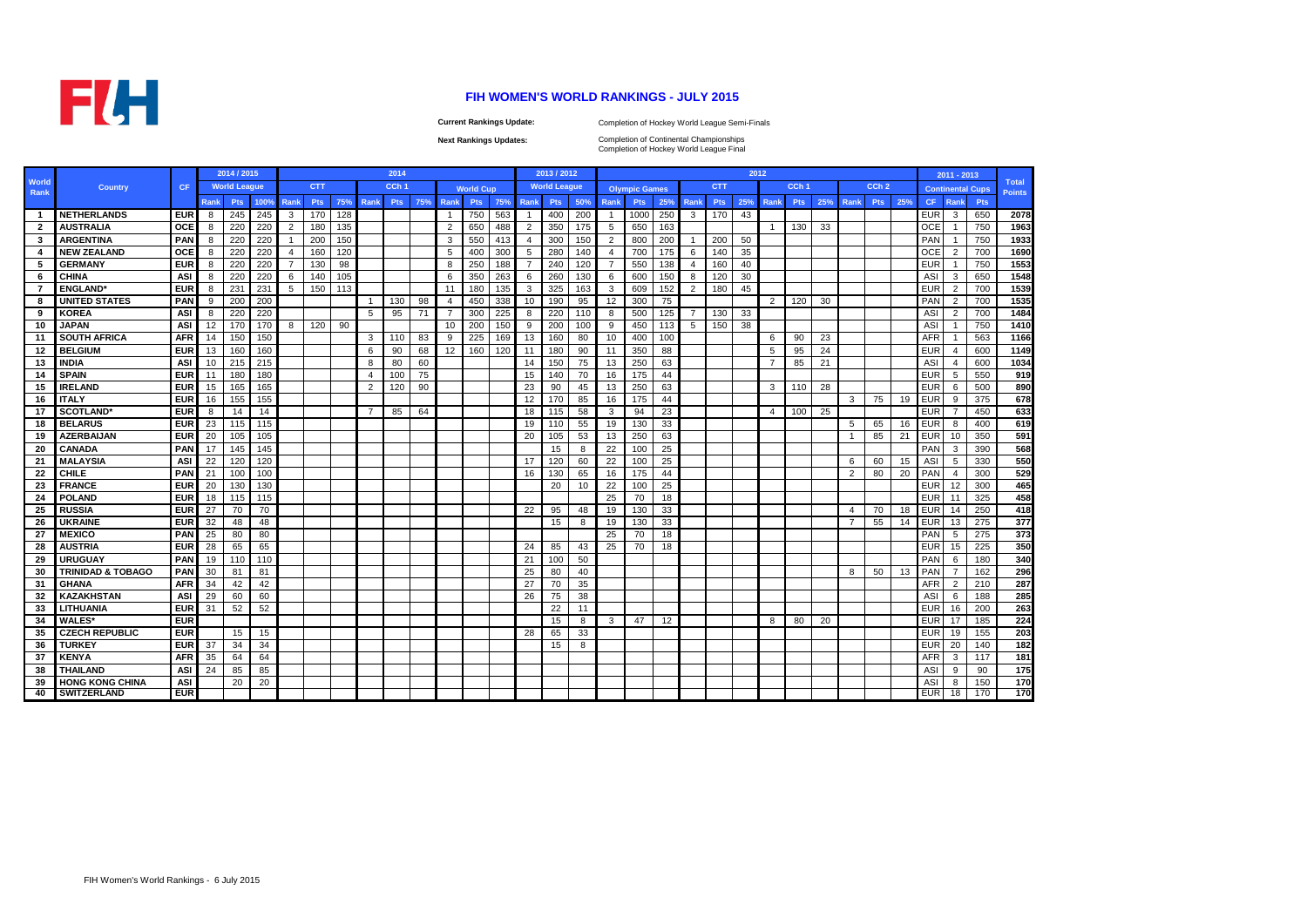

## **FIH WOMEN'S WORLD RANKINGS - JULY 2015**

**Current Rankings Update:**

Completion of Hockey World League Semi-Finals

**Next Rankings Updates:** 

Completion of Hockey World League Final Completion of Continental Championships

|                      |                              |            |             | 2014 / 2015         |      |                |            |     |                | 2014             |     |                |                  |     |                | 2013 / 2012         |     |                |                      |     |                |            | 2012 |                |                  |     |      |                  |     |            | 2011 - 2013             |     |                               |
|----------------------|------------------------------|------------|-------------|---------------------|------|----------------|------------|-----|----------------|------------------|-----|----------------|------------------|-----|----------------|---------------------|-----|----------------|----------------------|-----|----------------|------------|------|----------------|------------------|-----|------|------------------|-----|------------|-------------------------|-----|-------------------------------|
| <b>World</b><br>Rank | <b>Country</b>               | <b>CF</b>  |             | <b>World League</b> |      |                | <b>CTT</b> |     |                | CCh <sub>1</sub> |     |                | <b>World Cup</b> |     |                | <b>World League</b> |     |                | <b>Olympic Games</b> |     |                | <b>CTT</b> |      |                | CCh <sub>1</sub> |     |      | CCh <sub>2</sub> |     |            | <b>Continental Cups</b> |     | <b>Total</b><br><b>Points</b> |
|                      |                              |            | <b>Rank</b> | <b>Pts</b>          | 100% | Rank           | Pts        | 75% | Rank           | Pts              | 75% | Rank           | <b>Pts</b>       | 75% | Rank           | <b>Pts</b>          | 50% | Rank           | <b>Pts</b>           | 25% | <b>Rank</b>    | <b>Pts</b> | 25%  | Rank           | <b>Pts</b>       | 25% | Rank | <b>Pts</b>       | 25% | CF.        | <b>Rank</b>             | Pts |                               |
| $\overline{1}$       | <b>NETHERLANDS</b>           | <b>EUR</b> | 8           | 245                 | 245  | 3              | 170        | 128 |                |                  |     | -1             | 750              | 563 | $\mathbf{1}$   | 400                 | 200 | 1              | 1000                 | 250 | 3              | 170        | 43   |                |                  |     |      |                  |     | EUR        | 3                       | 650 | 2078                          |
| $\overline{2}$       | <b>AUSTRALIA</b>             | OCE        |             | 220                 | 220  | $\overline{2}$ | 180        | 135 |                |                  |     | $\overline{2}$ | 650              | 488 | $\overline{2}$ | 350                 | 175 | 5              | 650                  | 163 |                |            |      | $\mathbf{1}$   | 130              | 33  |      |                  |     | OCE        |                         | 750 | 1963                          |
| 3                    | <b>ARGENTINA</b>             | PAN        | 8           | 220                 | 220  | $\overline{1}$ | 200        | 150 |                |                  |     | 3              | 550              | 413 | $\overline{4}$ | 300                 | 150 | $\overline{2}$ | 800                  | 200 | $\mathbf{1}$   | 200        | 50   |                |                  |     |      |                  |     | PAN        |                         | 750 | 1933                          |
| 4                    | <b>NEW ZEALAND</b>           | OCE        | 8           | 220                 | 220  | $\overline{4}$ | 160        | 120 |                |                  |     | 5              | 400              | 300 | 5              | 280                 | 140 | $\overline{4}$ | 700                  | 175 | 6              | 140        | 35   |                |                  |     |      |                  |     | OCE        | $\overline{2}$          | 700 | 1690                          |
| 5                    | <b>GERMANY</b>               | <b>EUR</b> | 8           | 220                 | 220  | 7              | 130        | 98  |                |                  |     | 8              | 250              | 188 | $\overline{7}$ | 240                 | 120 | $\overline{7}$ | 550                  | 138 | 4              | 160        | 40   |                |                  |     |      |                  |     | <b>EUR</b> |                         | 750 | 1553                          |
| 6                    | <b>CHINA</b>                 | <b>ASI</b> | 8           | 220                 | 220  | 6              | 140        | 105 |                |                  |     | 6              | 350              | 263 | 6              | 260                 | 130 | 6              | 600                  | 150 | 8              | 120        | 30   |                |                  |     |      |                  |     | <b>ASI</b> | 3                       | 650 | 1548                          |
| $\overline{7}$       | <b>ENGLAND*</b>              | <b>EUR</b> | 8           | 231                 | 231  | 5              | 150        | 113 |                |                  |     | 11             | 180              | 135 | 3              | 325                 | 163 | 3              | 609                  | 152 | $\overline{2}$ | 180        | 45   |                |                  |     |      |                  |     | EUR        | $\overline{2}$          | 700 | 1539                          |
| 8                    | <b>UNITED STATES</b>         | PAN        | 9           | 200                 | 200  |                |            |     | $\overline{1}$ | 130              | 98  | $\overline{4}$ | 450              | 338 | 10             | 190                 | 95  | 12             | 300                  | 75  |                |            |      | 2              | 120              | 30  |      |                  |     | PAN        | 2                       | 700 | 1535                          |
| 9                    | <b>KOREA</b>                 | <b>ASI</b> | 8           | 220                 | 220  |                |            |     | 5              | 95               | 71  | $\overline{7}$ | 300              | 225 | 8              | 220                 | 110 | 8              | 500                  | 125 | $\overline{7}$ | 130        | 33   |                |                  |     |      |                  |     | ASI        | $\overline{2}$          | 700 | 1484                          |
| 10                   | <b>JAPAN</b>                 | <b>ASI</b> | 12          | 170                 | 170  | 8              | 120        | 90  |                |                  |     | 10             | 200              | 150 | 9              | 200                 | 100 | 9              | 450                  | 113 | 5              | 150        | 38   |                |                  |     |      |                  |     | ASI        |                         | 750 | 1410                          |
| 11                   | <b>SOUTH AFRICA</b>          | <b>AFR</b> | 14          | 150                 | 150  |                |            |     | 3              | 110              | 83  | 9              | 225              | 169 | 13             | 160                 | 80  | 10             | 400                  | 100 |                |            |      | 6              | 90               | 23  |      |                  |     | <b>AFR</b> |                         | 563 | 1166                          |
| 12                   | <b>BELGIUM</b>               | <b>EUR</b> | 13          | 160                 | 160  |                |            |     | 6              | 90               | 68  | 12             | 160              | 120 | 11             | 180                 | 90  | 11             | 350                  | 88  |                |            |      | $\overline{5}$ | 95               | 24  |      |                  |     | <b>EUR</b> | $\overline{4}$          | 600 | 1149                          |
| 13                   | <b>INDIA</b>                 | <b>ASI</b> | 10          | 215                 | 215  |                |            |     | 8              | 80               | 60  |                |                  |     | 14             | 150                 | 75  | 13             | 250                  | 63  |                |            |      | $\overline{7}$ | 85               | 21  |      |                  |     | ASI        | $\overline{4}$          | 600 | 1034                          |
| 14                   | <b>SPAIN</b>                 | <b>EUR</b> | 11          | 180                 | 180  |                |            |     | $\overline{4}$ | 100              | 75  |                |                  |     | 15             | 140                 | 70  | 16             | 175                  | 44  |                |            |      |                |                  |     |      |                  |     | <b>EUR</b> | 5                       | 550 | 919                           |
| 15                   | <b>IRELAND</b>               | <b>EUR</b> | 15          | 165                 | 165  |                |            |     | $\overline{2}$ | 120              | 90  |                |                  |     | 23             | 90                  | 45  | 13             | 250                  | 63  |                |            |      | 3              | 110              | 28  |      |                  |     | EUR        | 6                       | 500 | 890                           |
| 16                   | <b>ITALY</b>                 | <b>EUR</b> | 16          | 155                 | 155  |                |            |     |                |                  |     |                |                  |     | 12             | 170                 | 85  | 16             | 175                  | 44  |                |            |      |                |                  |     | 3    | 75               | 19  | EUR        | 9                       | 375 | 678                           |
| 17                   | <b>SCOTLAND*</b>             | <b>EUR</b> | 8           | 14                  | 14   |                |            |     | 7              | 85               | 64  |                |                  |     | 18             | 115                 | 58  | 3              | 94                   | 23  |                |            |      | $\overline{a}$ | 100              | 25  |      |                  |     | <b>EUR</b> |                         | 450 | 633                           |
| 18                   | <b>BELARUS</b>               | <b>EUR</b> | 23          | 115                 | 115  |                |            |     |                |                  |     |                |                  |     | 19             | 110                 | 55  | 19             | 130                  | 33  |                |            |      |                |                  |     | 5    | 65               | 16  | EUR        | 8                       | 400 | 619                           |
| 19                   | <b>AZERBAIJAN</b>            | <b>EUR</b> | 20          | 105                 | 105  |                |            |     |                |                  |     |                |                  |     | 20             | 105                 | 53  | 13             | 250                  | 63  |                |            |      |                |                  |     | -1   | 85               | 21  | EUR        | 10                      | 350 | 591                           |
| 20                   | <b>CANADA</b>                | PAN        | 17          | 145                 | 145  |                |            |     |                |                  |     |                |                  |     |                | 15                  | 8   | 22             | 100                  | 25  |                |            |      |                |                  |     |      |                  |     | PAN        | 3                       | 390 | 568                           |
| 21                   | <b>MALAYSIA</b>              | AS         | 22          | 120                 | 120  |                |            |     |                |                  |     |                |                  |     | 17             | 120                 | 60  | 22             | 100                  | 25  |                |            |      |                |                  |     | 6    | 60               | 15  | ASI        | 5                       | 330 | 550                           |
| 22                   | <b>CHILE</b>                 | PAN        | 21          | 100                 | 100  |                |            |     |                |                  |     |                |                  |     | 16             | 130                 | 65  | 16             | 175                  | 44  |                |            |      |                |                  |     | 2    | 80               | 20  | PAN        | $\overline{4}$          | 300 | 529                           |
| 23                   | <b>FRANCE</b>                | <b>EUR</b> | 20          | 130                 | 130  |                |            |     |                |                  |     |                |                  |     |                | 20                  | 10  | 22             | 100                  | 25  |                |            |      |                |                  |     |      |                  |     | EUR        | 12                      | 300 | 465                           |
| 24                   | <b>POLAND</b>                | <b>EUR</b> | 18          | 115                 | 115  |                |            |     |                |                  |     |                |                  |     |                |                     |     | 25             | 70                   | 18  |                |            |      |                |                  |     |      |                  |     | <b>EUR</b> | 11                      | 325 | 458                           |
| 25                   | <b>RUSSIA</b>                | <b>EUR</b> | 27          | 70                  | 70   |                |            |     |                |                  |     |                |                  |     | 22             | 95                  | 48  | 19             | 130                  | 33  |                |            |      |                |                  |     | 4    | 70               | 18  | <b>EUR</b> | 14                      | 250 | 418                           |
| 26                   | <b>UKRAINE</b>               | <b>EUR</b> | 32          | 48                  | 48   |                |            |     |                |                  |     |                |                  |     |                | 15                  | 8   | 19             | 130                  | 33  |                |            |      |                |                  |     | 7    | 55               | 14  | EUR        | 13                      | 275 | $\overline{377}$              |
| 27                   | <b>MEXICO</b>                | PAN        | 25          | 80                  | 80   |                |            |     |                |                  |     |                |                  |     |                |                     |     | 25             | 70                   | 18  |                |            |      |                |                  |     |      |                  |     | PAN        | 5                       | 275 | 373                           |
| 28                   | <b>AUSTRIA</b>               | <b>EUR</b> | 28          | 65                  | 65   |                |            |     |                |                  |     |                |                  |     | 24             | 85                  | 43  | 25             | 70                   | 18  |                |            |      |                |                  |     |      |                  |     | <b>EUR</b> | 15                      | 225 | 350                           |
| 29                   | <b>URUGUAY</b>               | <b>PAN</b> | 19          | 110                 | 110  |                |            |     |                |                  |     |                |                  |     | 21             | 100                 | 50  |                |                      |     |                |            |      |                |                  |     |      |                  |     | PAN        | 6                       | 180 | 340                           |
| 30                   | <b>TRINIDAD &amp; TOBAGO</b> | PAN        | 30          | 81                  | 81   |                |            |     |                |                  |     |                |                  |     | 25             | 80                  | 40  |                |                      |     |                |            |      |                |                  |     | 8    | 50               | 13  | PAN        | 7                       | 162 | 296                           |
| 31                   | <b>GHANA</b>                 | <b>AFR</b> | 34          | 42                  | 42   |                |            |     |                |                  |     |                |                  |     | 27             | 70                  | 35  |                |                      |     |                |            |      |                |                  |     |      |                  |     | <b>AFR</b> | $\overline{2}$          | 210 | 287                           |
| 32                   | <b>KAZAKHSTAN</b>            | <b>AS</b>  | 29          | 60                  | 60   |                |            |     |                |                  |     |                |                  |     | 26             | 75                  | 38  |                |                      |     |                |            |      |                |                  |     |      |                  |     | ASI        | 6                       | 188 | 285                           |
| 33                   | LITHUANIA                    | <b>EUR</b> | 31          | 52                  | 52   |                |            |     |                |                  |     |                |                  |     |                | 22                  | 11  |                |                      |     |                |            |      |                |                  |     |      |                  |     | EUR        | 16                      | 200 | 263                           |
| 34                   | <b>WALES*</b>                | <b>EUR</b> |             |                     |      |                |            |     |                |                  |     |                |                  |     |                | 15                  | 8   | 3              | 47                   | 12  |                |            |      | 8              | 80               | 20  |      |                  |     | <b>EUR</b> | 17                      | 185 | 224                           |
| 35                   | <b>CZECH REPUBLIC</b>        | <b>EUR</b> |             | 15                  | 15   |                |            |     |                |                  |     |                |                  |     | 28             | 65                  | 33  |                |                      |     |                |            |      |                |                  |     |      |                  |     | EUR        | 19                      | 155 | 203                           |
| 36                   | <b>TURKEY</b>                | <b>EUR</b> | 37          | 34                  | 34   |                |            |     |                |                  |     |                |                  |     |                | 15                  | 8   |                |                      |     |                |            |      |                |                  |     |      |                  |     | <b>EUR</b> | 20                      | 140 | 182                           |
| 37                   | <b>KENYA</b>                 | <b>AFR</b> | 35          | 64                  | 64   |                |            |     |                |                  |     |                |                  |     |                |                     |     |                |                      |     |                |            |      |                |                  |     |      |                  |     | <b>AFR</b> | 3                       | 117 | 181                           |
| 38                   | <b>THAILAND</b>              | ASI        | 24          | 85                  | 85   |                |            |     |                |                  |     |                |                  |     |                |                     |     |                |                      |     |                |            |      |                |                  |     |      |                  |     | <b>ASI</b> | 9                       | 90  | 175                           |
| 39                   | <b>HONG KONG CHINA</b>       | ASI        |             | 20                  | 20   |                |            |     |                |                  |     |                |                  |     |                |                     |     |                |                      |     |                |            |      |                |                  |     |      |                  |     | ASI        | 8                       | 150 | 170                           |
| 40                   | <b>SWITZERLAND</b>           | <b>EUR</b> |             |                     |      |                |            |     |                |                  |     |                |                  |     |                |                     |     |                |                      |     |                |            |      |                |                  |     |      |                  |     | <b>EUR</b> | 18                      | 170 | 170                           |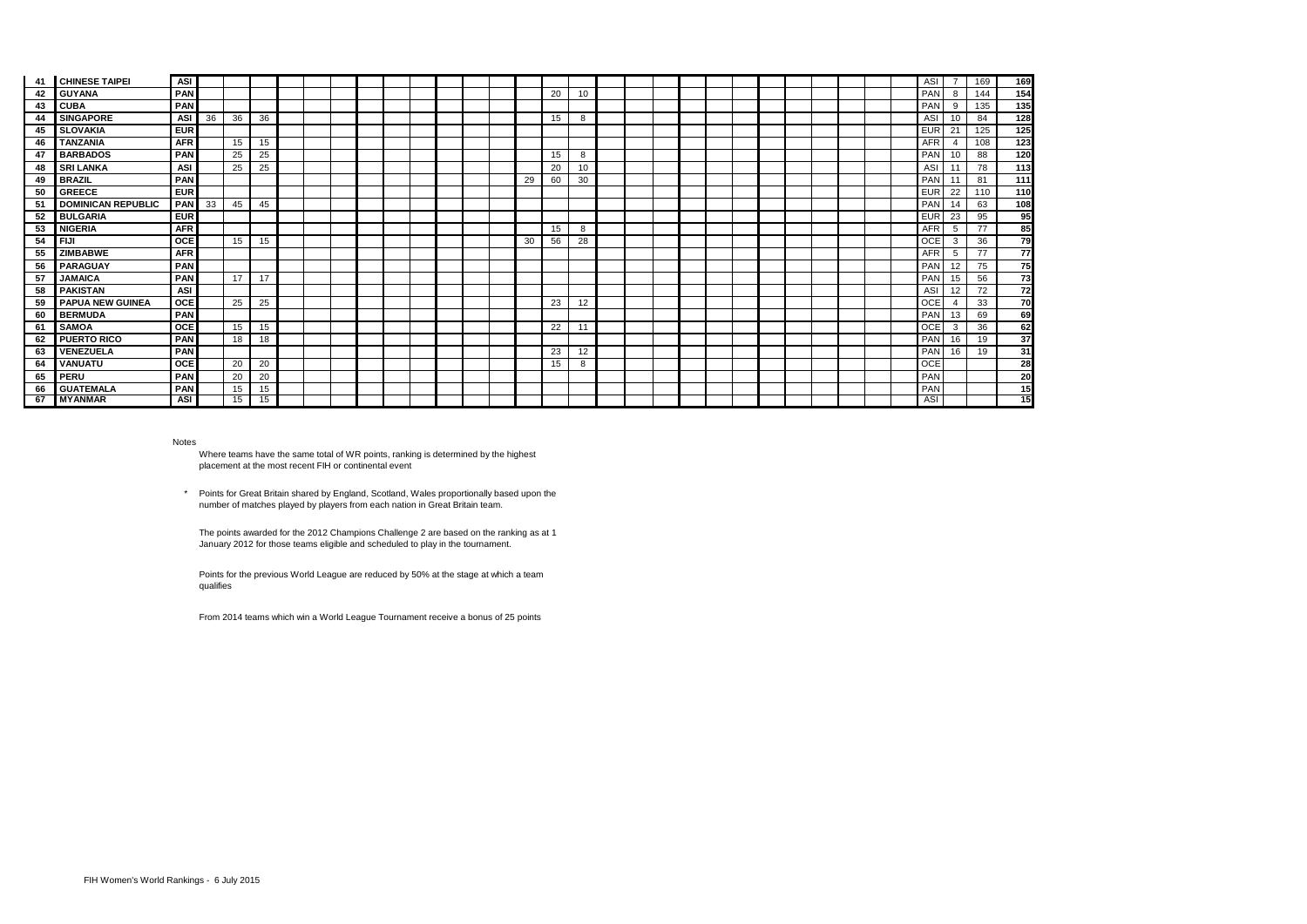| -41 | <b>CHINESE TAIPEI</b>     | <b>ASI</b> |    |    |    |  |  |  |  |    |    |    |  |  |  |  |  |  | ASI        |                | 169 | 169             |
|-----|---------------------------|------------|----|----|----|--|--|--|--|----|----|----|--|--|--|--|--|--|------------|----------------|-----|-----------------|
| 42  | <b>GUYANA</b>             | <b>PAN</b> |    |    |    |  |  |  |  |    | 20 | 10 |  |  |  |  |  |  | PAN        | 8              | 144 | 154             |
| 43  | <b>CUBA</b>               | PAN        |    |    |    |  |  |  |  |    |    |    |  |  |  |  |  |  | PAN        | 9              | 135 | 135             |
| 44  | <b>SINGAPORE</b>          | <b>ASI</b> | 36 | 36 | 36 |  |  |  |  |    | 15 | 8  |  |  |  |  |  |  | ASI        | 10             | 84  | 128             |
| 45  | <b>SLOVAKIA</b>           | <b>EUR</b> |    |    |    |  |  |  |  |    |    |    |  |  |  |  |  |  | <b>EUR</b> | 21             | 125 | 125             |
| 46  | <b>TANZANIA</b>           | <b>AFR</b> |    | 15 | 15 |  |  |  |  |    |    |    |  |  |  |  |  |  | <b>AFR</b> | $\overline{4}$ | 108 | 123             |
| 47  | <b>BARBADOS</b>           | PAN        |    | 25 | 25 |  |  |  |  |    | 15 | 8  |  |  |  |  |  |  | PAN        | 10             | 88  | 120             |
| 48  | <b>SRI LANKA</b>          | ASI        |    | 25 | 25 |  |  |  |  |    | 20 | 10 |  |  |  |  |  |  | ASI        |                | 78  | 113             |
| 49  | <b>BRAZIL</b>             | PAN        |    |    |    |  |  |  |  | 29 | 60 | 30 |  |  |  |  |  |  | PAN        |                | 81  | 111             |
| 50  | <b>GREECE</b>             | <b>EUR</b> |    |    |    |  |  |  |  |    |    |    |  |  |  |  |  |  | <b>EUR</b> | 22             | 110 | 110             |
| 51  | <b>DOMINICAN REPUBLIC</b> | <b>PAN</b> | 33 | 45 | 45 |  |  |  |  |    |    |    |  |  |  |  |  |  | PAN        | 14             | 63  | 108             |
| 52  | <b>BULGARIA</b>           | <b>EUR</b> |    |    |    |  |  |  |  |    |    |    |  |  |  |  |  |  | <b>EUR</b> | 23             | 95  | 95              |
| 53  | <b>NIGERIA</b>            | <b>AFR</b> |    |    |    |  |  |  |  |    | 15 | 8  |  |  |  |  |  |  | <b>AFR</b> | 5              | 77  | 85              |
| 54  | <b>FIJI</b>               | OCE        |    | 15 | 15 |  |  |  |  | 30 | 56 | 28 |  |  |  |  |  |  | OCE        | 3              | 36  | 79              |
| 55  | <b>ZIMBABWE</b>           | <b>AFR</b> |    |    |    |  |  |  |  |    |    |    |  |  |  |  |  |  | <b>AFR</b> | 5              | 77  | $\overline{77}$ |
| 56  | PARAGUAY                  | <b>PAN</b> |    |    |    |  |  |  |  |    |    |    |  |  |  |  |  |  | PAN        | 12             | 75  | 75              |
| 57  | <b>JAMAICA</b>            | PAN        |    | 17 | 17 |  |  |  |  |    |    |    |  |  |  |  |  |  | PAN        | 15             | 56  | 73              |
| 58  | <b>PAKISTAN</b>           | <b>ASI</b> |    |    |    |  |  |  |  |    |    |    |  |  |  |  |  |  | ASI        | 12             | 72  | 72              |
| 59  | <b>PAPUA NEW GUINEA</b>   | <b>OCE</b> |    | 25 | 25 |  |  |  |  |    | 23 | 12 |  |  |  |  |  |  | OCE        | $\overline{4}$ | 33  | 70              |
| 60  | <b>BERMUDA</b>            | PAN        |    |    |    |  |  |  |  |    |    |    |  |  |  |  |  |  | PAN        | 13             | 69  | 69              |
| 61  | <b>SAMOA</b>              | OCE        |    | 15 | 15 |  |  |  |  |    | 22 | 11 |  |  |  |  |  |  | OCE        | 3              | 36  | 62              |
| 62  | <b>PUERTO RICO</b>        | PAN        |    | 18 | 18 |  |  |  |  |    |    |    |  |  |  |  |  |  | PAN        | 16             | 19  | 37              |
| 63  | <b>VENEZUELA</b>          | PAN        |    |    |    |  |  |  |  |    | 23 | 12 |  |  |  |  |  |  | PAN        | 16             | 19  | 31              |
| 64  | <b>VANUATU</b>            | <b>OCE</b> |    | 20 | 20 |  |  |  |  |    | 15 | 8  |  |  |  |  |  |  | <b>OCE</b> |                |     | 28              |
| 65  | <b>PERU</b>               | PAN        |    | 20 | 20 |  |  |  |  |    |    |    |  |  |  |  |  |  | PAN        |                |     | 20              |
| 66  | <b>GUATEMALA</b>          | PAN        |    | 15 | 15 |  |  |  |  |    |    |    |  |  |  |  |  |  | PAN        |                |     | 15              |
| 67  | <b>MYANMAR</b>            | <b>ASI</b> |    | 15 | 15 |  |  |  |  |    |    |    |  |  |  |  |  |  | ASI        |                |     | 15              |

Notes

Where teams have the same total of WR points, ranking is determined by the highest placement at the most recent FIH or continental event

 \* Points for Great Britain shared by England, Scotland, Wales proportionally based upon the number of matches played by players from each nation in Great Britain team.

The points awarded for the 2012 Champions Challenge 2 are based on the ranking as at 1 January 2012 for those teams eligible and scheduled to play in the tournament.

Points for the previous World League are reduced by 50% at the stage at which a team qualifies

From 2014 teams which win a World League Tournament receive a bonus of 25 points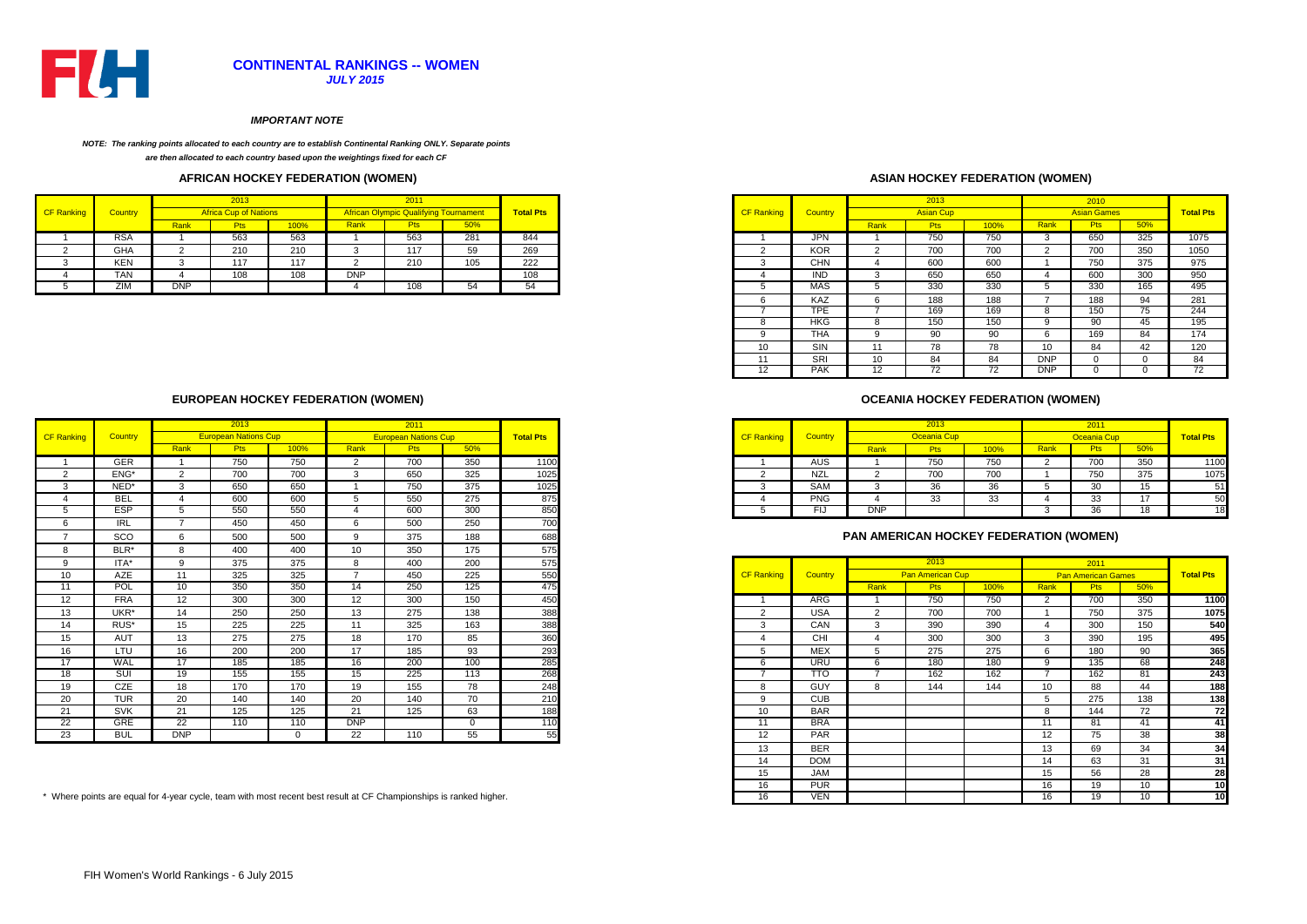

#### *IMPORTANT NOTE*

#### *NOTE: The ranking points allocated to each country are to establish Continental Ranking ONLY. Separate points*

*are then allocated to each country based upon the weightings fixed for each CF* 

### **AFRICAN HOCKEY FEDERATION (WOMEN)**

|                   |                |            | 2013       |          |            | 2011                                         |     |                  |
|-------------------|----------------|------------|------------|----------|------------|----------------------------------------------|-----|------------------|
| <b>CF Ranking</b> | <b>Country</b> |            |            |          |            | <b>African Olympic Qualifying Tournament</b> |     | <b>Total Pts</b> |
|                   |                | Rank       | <u>, w</u> | 100%     | Rank       |                                              | 50% |                  |
|                   | <b>RSA</b>     |            | 563        | 563      |            | 563                                          | 281 | 844              |
|                   | GHA            |            | 210        | 210      |            | 117                                          | 59  | 269              |
|                   | <b>KEN</b>     |            | 117        | 117<br>. |            | 210                                          | 105 | 222              |
|                   | <b>TAN</b>     |            | 108        | 108      | <b>DNP</b> |                                              |     | 108              |
|                   | ZIM            | <b>DNP</b> |            |          |            | 108                                          |     |                  |

### **ASIAN HOCKEY FEDERATION (WOMEN)**

| 2013<br>2011 |                              |      |            |                                              |     |                  | 2013              |            |                   | 2010             |      |            |                    |          |                  |
|--------------|------------------------------|------|------------|----------------------------------------------|-----|------------------|-------------------|------------|-------------------|------------------|------|------------|--------------------|----------|------------------|
|              | <b>Africa Cup of Nations</b> |      |            | <b>African Olympic Qualifying Tournament</b> |     | <b>Total Pts</b> | <b>CF Ranking</b> | Country    |                   | <b>Asian Cup</b> |      |            | <b>Asian Games</b> |          | <b>Total Pts</b> |
| <u>lank</u>  | Pts                          | 100% | Rank       | Pts                                          | 50% |                  |                   |            | Rank              | <b>Pts</b>       | 100% | Rank       | <b>Pts</b>         | 50%      |                  |
|              | 563                          | 563  |            | 563                                          | 281 | 844              |                   | <b>JPN</b> |                   | 750              | 750  |            | 650                | 325      | 1075             |
| $\sim$<br>∠  | 210                          | 210  |            | 117                                          | 59  | 269              |                   | <b>KOR</b> |                   | 700              | 700  |            | 700                | 350      | 1050             |
| 3            | 117                          | 117  |            | 210                                          | 105 | 222              | -5                | <b>CHN</b> |                   | 600              | 600  |            | 750                | 375      | 975              |
| 4            | 108                          | 108  | <b>DNP</b> |                                              |     | 108              |                   | <b>IND</b> | 3                 | 650              | 650  |            | 600                | 300      | 950              |
| DNP          |                              |      |            | 108                                          | 54  | 54               |                   | MAS        |                   | 330              | 330  |            | 330                | 165      | 495              |
|              |                              |      |            |                                              |     |                  |                   | KAZ        | 6                 | 188              | 188  |            | 188                | 94       | 281              |
|              |                              |      |            |                                              |     |                  |                   | <b>TPE</b> |                   | 169              | 169  |            | 150                | $\sim$   | 244              |
|              |                              |      |            |                                              |     |                  |                   | <b>HKG</b> | 8                 | 150              | 150  |            | 90                 | 45       | 195              |
|              |                              |      |            |                                              |     |                  |                   | THA        | 9                 | 90               | 90   | ĸ.         | 169                | 84       | 174              |
|              |                              |      |            |                                              |     |                  | 10                | <b>SIN</b> | 11                | 78               | 78   | 10         | 84                 | 42       | 120              |
|              |                              |      |            |                                              |     |                  | 11                | SRI        | 10                | 84               | 84   | <b>DNP</b> |                    | $\Omega$ | 84               |
|              |                              |      |            |                                              |     |                  | 12                | <b>PAK</b> | $12 \overline{ }$ | 72               | 72   | <b>DNP</b> |                    |          | 72               |

### **OCEANIA HOCKEY FEDERATION (WOMEN)**

|      | 2013                        |      |      | <u> 2011</u> |     |                  |                   |                |            | 2013               |            |      |            |     |           |
|------|-----------------------------|------|------|--------------|-----|------------------|-------------------|----------------|------------|--------------------|------------|------|------------|-----|-----------|
|      | <b>European Nations Cup</b> |      |      |              |     | <b>Total Pts</b> | <b>CF Ranking</b> | <b>Country</b> |            | <b>Oceania Cup</b> |            |      |            |     | Total Pts |
| Rank | -15                         | 100% | Rank | ۲ıs          | 50% |                  |                   |                | Rank       |                    | 100%       | Ranl |            | 50% |           |
|      | 750                         | 750  |      | 700          | 350 | 1100             |                   | AUS            |            | 750                | 750        |      | 700        | 350 |           |
|      | 700                         | 700  |      | 650          | 325 | 1025             |                   | NZL            |            | 700                | 700<br>`∪∪ |      | 750        | 375 |           |
|      | 650                         | 650  |      | 750          | 375 | 1025             |                   | SAM            |            | ັບເ                | $\sim$     |      | 20<br>ັບ   | 15  |           |
|      | 600                         | 600  |      | 550          | 275 | 875              |                   | <b>PNG</b>     |            | JJ.                | ູບ         |      | າາ<br>- აა | 47  |           |
|      | 550                         | 550  |      | 600          | 300 | 850              |                   | FI.            | <b>DNP</b> |                    |            |      | 36         | 18  |           |

### **PAN AMERICAN HOCKEY FEDERATION (WOMEN)**

|                   |                |      | 2013                    |      |                | 2011                      |     |                  |
|-------------------|----------------|------|-------------------------|------|----------------|---------------------------|-----|------------------|
| <b>CF Ranking</b> | <b>Country</b> |      | <b>Pan American Cup</b> |      |                | <b>Pan American Games</b> |     | <b>Total Pts</b> |
|                   |                | Rank | <b>Pts</b>              | 100% | Rank           | <b>Pts</b>                | 50% |                  |
| 1                 | <b>ARG</b>     | 1    | 750                     | 750  | 2              | 700                       | 350 | 1100             |
| 2                 | <b>USA</b>     | 2    | 700                     | 700  | 1              | 750                       | 375 | 1075             |
| 3                 | CAN            | 3    | 390                     | 390  | $\overline{4}$ | 300                       | 150 | 540              |
| 4                 | CHI            | 4    | 300                     | 300  | 3              | 390                       | 195 | 495              |
| 5                 | <b>MEX</b>     | 5    | 275                     | 275  | 6              | 180                       | 90  | 365              |
| 6                 | URU            | 6    | 180                     | 180  | 9              | 135                       | 68  | 248              |
| 7                 | πο             | 7    | 162                     | 162  | 7              | 162                       | 81  | 243              |
| 8                 | <b>GUY</b>     | 8    | 144                     | 144  | 10             | 88                        | 44  | 188              |
| 9                 | <b>CUB</b>     |      |                         |      | 5              | 275                       | 138 | 138              |
| 10                | <b>BAR</b>     |      |                         |      | 8              | 144                       | 72  | 72               |
| 11                | <b>BRA</b>     |      |                         |      | 11             | 81                        | 41  | 41               |
| 12                | <b>PAR</b>     |      |                         |      | 12             | 75                        | 38  | 38               |
| 13                | <b>BER</b>     |      |                         |      | 13             | 69                        | 34  | 34               |
| 14                | <b>DOM</b>     |      |                         |      | 14             | 63                        | 31  | 31               |
| 15                | <b>JAM</b>     |      |                         |      | 15             | 56                        | 28  | 28               |
| 16                | <b>PUR</b>     |      |                         |      | 16             | 19                        | 10  | 10               |
| 16                | VEN            |      |                         |      | 16             | 19                        | 10  | 10               |

### **EUROPEAN HOCKEY FEDERATION (WOMEN)**

|                   |            | 2013            |                             |          |                          | 2011                        |     |                  |                   |                  |      | 2013                                          |      |          | 2011                      |     |                  |
|-------------------|------------|-----------------|-----------------------------|----------|--------------------------|-----------------------------|-----|------------------|-------------------|------------------|------|-----------------------------------------------|------|----------|---------------------------|-----|------------------|
| <b>CF Ranking</b> | Country    |                 | <b>European Nations Cup</b> |          |                          | <b>European Nations Cup</b> |     | <b>Total Pts</b> | <b>CF Ranking</b> | Country          |      | <b>Oceania Cup</b>                            |      |          | <b>Oceania Cup</b>        |     | <b>Total Pts</b> |
|                   |            | Rank            | <b>Pts</b>                  | 100%     | Rank                     | <b>Pts</b>                  | 50% |                  |                   |                  | Rank | <b>Pts</b>                                    | 100% | Rank     | <b>Pts</b>                | 50% |                  |
|                   | <b>GER</b> |                 | 750                         | 750      | $\overline{2}$           | 700                         | 350 | 1100             |                   | <b>AUS</b>       |      | 750                                           | 750  |          | 700                       | 350 | 1100             |
|                   | ENG*       | 2               | 700                         | 700      | 3                        | 650                         | 325 | 1025             | $\overline{2}$    | <b>NZL</b>       | 2    | 700                                           | 700  |          | 750                       | 375 | 1075             |
| $NED^*$           |            | 3               | 650                         | 650      |                          | 750                         | 375 | 1025             | 3                 | SAM              | 3    | 36                                            | 36   |          | 30                        | 15  | 51               |
| <b>BEL</b>        |            |                 | 600                         | 600      | 5                        | 550                         | 275 | 875              |                   | <b>PNG</b>       |      | 33                                            | 33   |          | 33                        | 17  | 50               |
| <b>ESP</b>        |            | 5               | 550                         | 550      | $\boldsymbol{\varDelta}$ | 600                         | 300 | 850              |                   | - FIJ            | DNP  |                                               |      | 3        | 36                        | 18  | <sup>18</sup>    |
| IRL               |            |                 | 450                         | 450      | 6                        | 500                         | 250 | 700              |                   |                  |      |                                               |      |          |                           |     |                  |
| SCO               |            | 6               | 500                         | 500      | $\mathbf{Q}$             | 375                         | 188 | 688              |                   |                  |      | <b>PAN AMERICAN HOCKEY FEDERATION (WOMEN)</b> |      |          |                           |     |                  |
|                   | BLR*       | 8               | 400                         | 400      | 10                       | 350                         | 175 | 575              |                   |                  |      |                                               |      |          |                           |     |                  |
| $ITA*$            |            | 9               | 375                         | 375      | 8                        | 400                         | 200 | 575              |                   |                  |      | 2013                                          |      |          | 2011                      |     |                  |
| AZE               |            | 11              | 325                         | 325      | $\rightarrow$            | 450                         | 225 | 550              | <b>CF Ranking</b> | Country          |      | <b>Pan American Cup</b>                       |      |          | <b>Pan American Games</b> |     | <b>Total Pts</b> |
| POL               |            | 10 <sup>1</sup> | 350                         | 350      | 14                       | 250                         | 125 | 475              |                   |                  | Rank | <b>Pts</b>                                    | 100% | Rank     | <b>Pts</b>                | 50% |                  |
| <b>FRA</b>        |            | 12              | 300                         | 300      | 12                       | 300                         | 150 | 450              |                   | <b>ARG</b>       |      | 750                                           | 750  | ົ        | 700                       | 350 | 1100             |
| UKR*              |            | 14              | 250                         | 250      | 13                       | 275                         | 138 | 388              | 2                 | <b>USA</b>       | 2    | 700                                           | 700  |          | 750                       | 375 | 1075             |
| RUS*              |            | 15              | 225                         | 225      | 11                       | 325                         | 163 | 388              | 3                 | CAN              | 3    | 390                                           | 390  |          | 300                       | 150 | 540              |
| AUT               |            | 13              | 275                         | 275      | 18                       | 170                         | 85  | 360              |                   | CHI              |      | 300                                           | 300  | ্ব       | 390                       | 195 | 495              |
| LTU               |            | 16              | 200                         | 200      | 17                       | 185                         | 93  | 293              | 5                 | <b>MEX</b>       |      | 275                                           | 275  | <b>6</b> | 180                       | 90  | 365              |
| WAL               |            | 17              | 185                         | 185      | 16                       | 200                         | 100 | 285              | 6                 | <b>URU</b>       |      | 180                                           | 180  | $\Omega$ | 135                       | 68  | 248              |
| SUI               |            | 19              | 155                         | 155      | 15                       | 225                         | 113 | 268              |                   | $\overline{110}$ |      | 162                                           | 162  |          | 162                       | 81  | 243              |
| CZE               |            | 18              | 170                         | 170      | 19                       | 155                         | 78  | 248              | 8                 | <b>GUY</b>       | 8    | 144                                           | 144  | 10       | 88                        | 44  | 188              |
| <b>TUR</b>        |            | 20              | 140                         | 140      | 20                       | 140                         | 70  | 210              | 9                 | <b>CUB</b>       |      |                                               |      |          | 275                       | 138 | 138              |
| SVK               |            | 21              | 125                         | 125      | 21                       | 125                         | 63  | 188              | 10                | <b>BAR</b>       |      |                                               |      | R        | 144                       | 72  | 72               |
| <b>GRE</b>        |            | 22              | 110                         | 110      | <b>DNP</b>               |                             |     | 110              | 11                | <b>BRA</b>       |      |                                               |      | 11       | 81                        | 41  | 41               |
| <b>BUL</b>        |            | <b>DNP</b>      |                             | $\Omega$ | 22                       | 110                         | 55  | 55               | 12                | PAR              |      |                                               |      | 12       | 75                        | 38  | 38               |

\* Where points are equal for 4-year cycle, team with most recent best result at CF Championships is ranked higher.